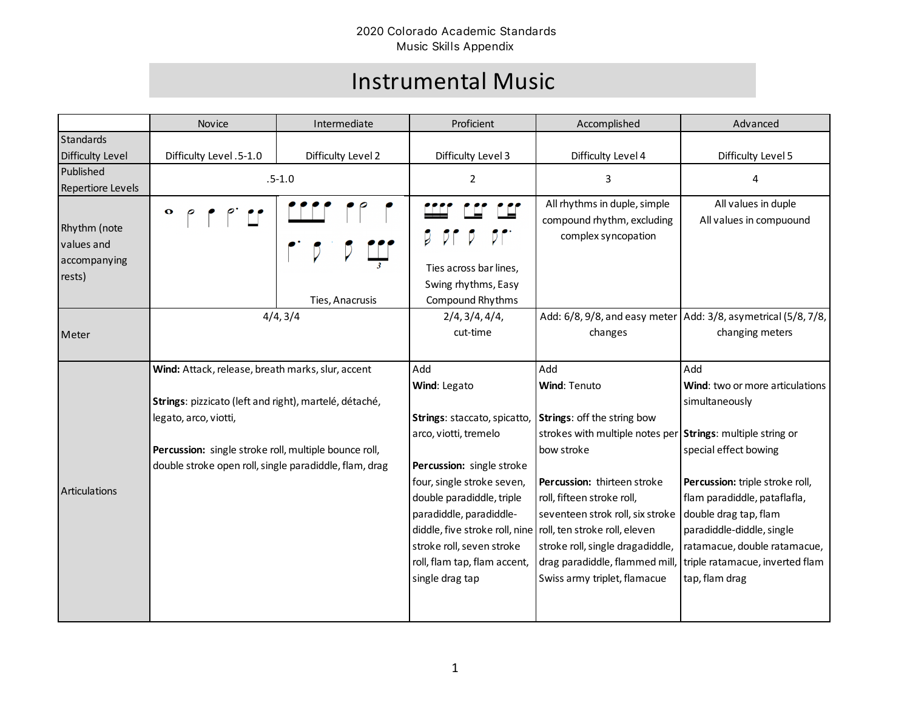## Instrumental Music

|                                                      | Novice                                                 | Intermediate       | Proficient                                                   | Accomplished                                                                      | Advanced                                                                            |
|------------------------------------------------------|--------------------------------------------------------|--------------------|--------------------------------------------------------------|-----------------------------------------------------------------------------------|-------------------------------------------------------------------------------------|
| Standards                                            |                                                        |                    |                                                              |                                                                                   |                                                                                     |
| <b>Difficulty Level</b>                              | Difficulty Level .5-1.0                                | Difficulty Level 2 | Difficulty Level 3                                           | Difficulty Level 4                                                                | Difficulty Level 5                                                                  |
| Published<br>Repertiore Levels                       | $.5 - 1.0$                                             |                    | $\overline{2}$                                               | 3                                                                                 | 4                                                                                   |
| Rhythm (note<br>values and<br>accompanying<br>rests) | $\mathbf o$                                            |                    | Ties across bar lines,<br>Swing rhythms, Easy                | All rhythms in duple, simple<br>compound rhythm, excluding<br>complex syncopation | All values in duple<br>All values in compuound                                      |
|                                                      |                                                        | Ties, Anacrusis    | Compound Rhythms                                             |                                                                                   |                                                                                     |
| Meter                                                | 4/4, 3/4                                               |                    | 2/4, 3/4, 4/4,<br>cut-time                                   | changes                                                                           | Add: 6/8, 9/8, and easy meter   Add: 3/8, asymetrical (5/8, 7/8,<br>changing meters |
|                                                      | Wind: Attack, release, breath marks, slur, accent      |                    | Add                                                          | Add                                                                               | Add                                                                                 |
|                                                      |                                                        |                    | Wind: Legato                                                 | Wind: Tenuto                                                                      | Wind: two or more articulations                                                     |
|                                                      | Strings: pizzicato (left and right), martelé, détaché, |                    |                                                              |                                                                                   | simultaneously                                                                      |
|                                                      | legato, arco, viotti,                                  |                    | Strings: staccato, spicatto,                                 | Strings: off the string bow                                                       |                                                                                     |
|                                                      |                                                        |                    | arco, viotti, tremelo                                        | strokes with multiple notes per Strings: multiple string or                       |                                                                                     |
|                                                      | Percussion: single stroke roll, multiple bounce roll,  |                    |                                                              | bow stroke                                                                        | special effect bowing                                                               |
|                                                      | double stroke open roll, single paradiddle, flam, drag |                    | Percussion: single stroke                                    |                                                                                   |                                                                                     |
| <b>Articulations</b>                                 |                                                        |                    | four, single stroke seven,                                   | Percussion: thirteen stroke                                                       | Percussion: triple stroke roll,                                                     |
|                                                      |                                                        |                    | double paradiddle, triple                                    | roll, fifteen stroke roll,                                                        | flam paradiddle, pataflafla,                                                        |
|                                                      |                                                        |                    | paradiddle, paradiddle-                                      | seventeen strok roll, six stroke                                                  | double drag tap, flam                                                               |
|                                                      |                                                        |                    | diddle, five stroke roll, nine roll, ten stroke roll, eleven |                                                                                   | paradiddle-diddle, single                                                           |
|                                                      |                                                        |                    | stroke roll, seven stroke                                    | stroke roll, single dragadiddle,                                                  | ratamacue, double ratamacue,                                                        |
|                                                      |                                                        |                    | roll, flam tap, flam accent,                                 | drag paradiddle, flammed mill,                                                    | triple ratamacue, inverted flam                                                     |
|                                                      |                                                        |                    | single drag tap                                              | Swiss army triplet, flamacue                                                      | tap, flam drag                                                                      |
|                                                      |                                                        |                    |                                                              |                                                                                   |                                                                                     |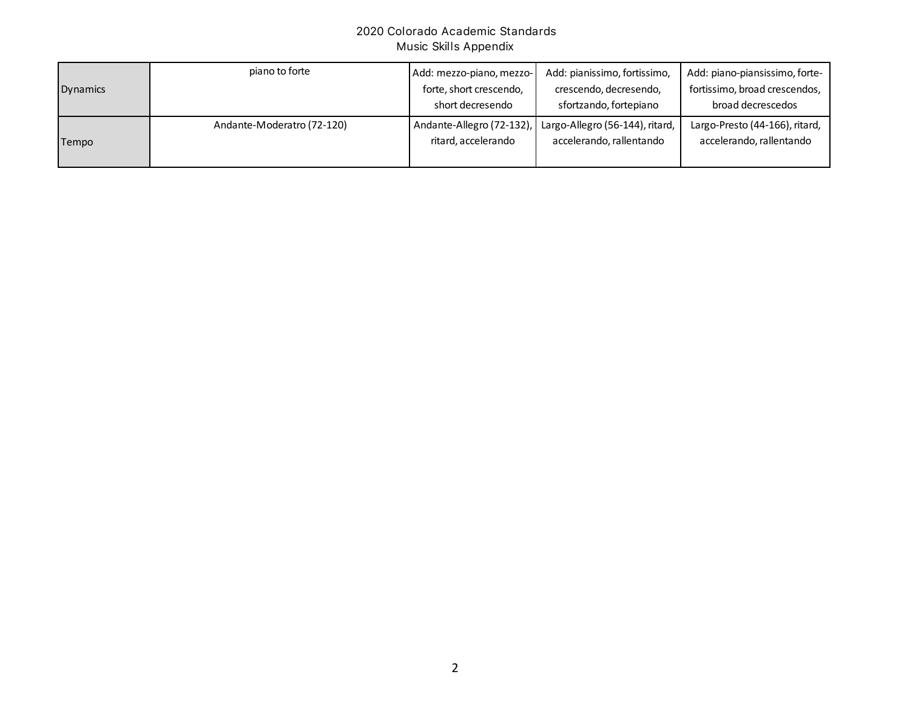| <b>Dynamics</b> | piano to forte             | Add: mezzo-piano, mezzo-<br>forte, short crescendo, | Add: pianissimo, fortissimo,<br>crescendo, decresendo,    | Add: piano-piansissimo, forte-<br>fortissimo, broad crescendos, |
|-----------------|----------------------------|-----------------------------------------------------|-----------------------------------------------------------|-----------------------------------------------------------------|
|                 |                            | short decresendo                                    | sfortzando, fortepiano                                    | broad decrescedos                                               |
|                 | Andante-Moderatro (72-120) |                                                     | Andante-Allegro (72-132), Largo-Allegro (56-144), ritard, | Largo-Presto (44-166), ritard,                                  |
| Tempo           |                            | ritard, accelerando                                 | accelerando, rallentando                                  | accelerando, rallentando                                        |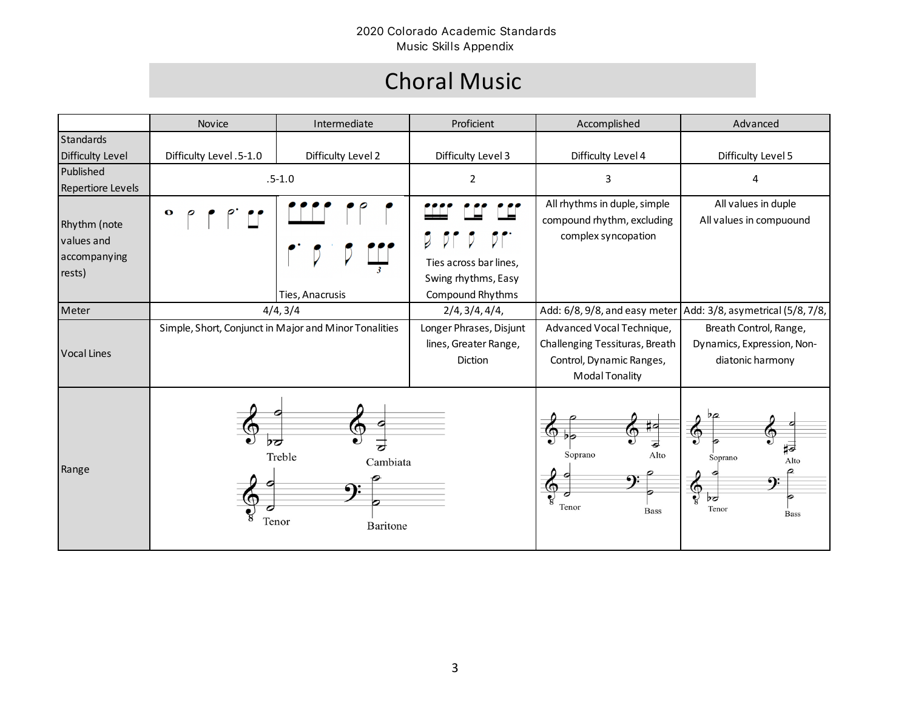# Choral Music

|                                                      | Novice                                                                 | Intermediate       | Proficient                                                                         | Accomplished                                                                                                     | Advanced                                                                                |
|------------------------------------------------------|------------------------------------------------------------------------|--------------------|------------------------------------------------------------------------------------|------------------------------------------------------------------------------------------------------------------|-----------------------------------------------------------------------------------------|
| Standards                                            |                                                                        |                    |                                                                                    |                                                                                                                  |                                                                                         |
| <b>Difficulty Level</b>                              | Difficulty Level .5-1.0                                                | Difficulty Level 2 | Difficulty Level 3                                                                 | Difficulty Level 4                                                                                               | Difficulty Level 5                                                                      |
| Published<br><b>Repertiore Levels</b>                | $.5 - 1.0$                                                             |                    | $\overline{2}$                                                                     | 3                                                                                                                | 4                                                                                       |
| Rhythm (note<br>values and<br>accompanying<br>rests) | $\mathbf{o}$                                                           | Ties, Anacrusis    | $D \mid$<br>D<br>Ties across bar lines,<br>Swing rhythms, Easy<br>Compound Rhythms | All rhythms in duple, simple<br>compound rhythm, excluding<br>complex syncopation                                | All values in duple<br>All values in compuound                                          |
| Meter                                                | 4/4, 3/4                                                               |                    | 2/4, 3/4, 4/4,                                                                     | Add: 6/8, 9/8, and easy meter                                                                                    | Add: 3/8, asymetrical (5/8, 7/8,                                                        |
| <b>Vocal Lines</b>                                   | Simple, Short, Conjunct in Major and Minor Tonalities                  |                    | Longer Phrases, Disjunt<br>lines, Greater Range,<br><b>Diction</b>                 | Advanced Vocal Technique,<br>Challenging Tessituras, Breath<br>Control, Dynamic Ranges,<br><b>Modal Tonality</b> | Breath Control, Range,<br>Dynamics, Expression, Non-<br>diatonic harmony                |
| Range                                                | ÞÓ<br>┲<br>Treble<br>Cambiata<br>$\bullet$<br>Tenor<br><b>Baritone</b> |                    |                                                                                    | ‡4<br>⊚<br>$\bigcirc$<br>⋣<br>Soprano<br>Alto<br>⊕<br>Tenor<br><b>Bass</b>                                       | ÞQ<br>⊚<br>ほ<br>Soprano<br>Alto<br><u>ຈະ</u><br>$\bigcirc$<br>b<br>Tenor<br><b>Bass</b> |